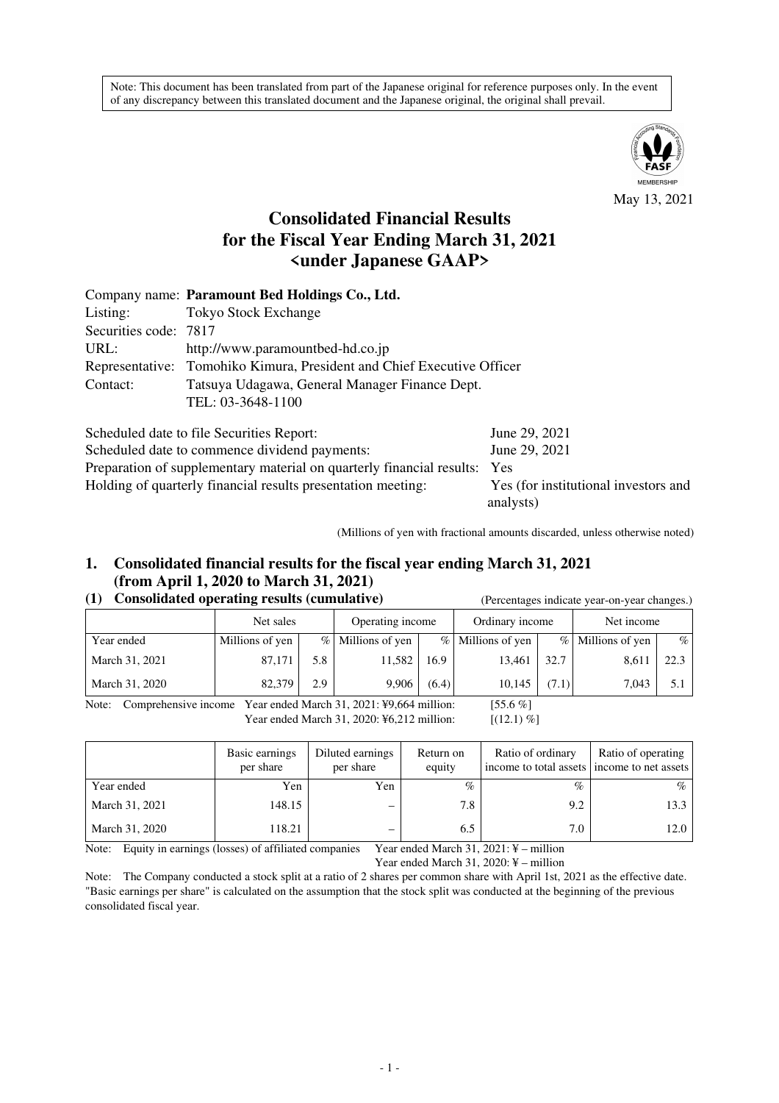Note: This document has been translated from part of the Japanese original for reference purposes only. In the event of any discrepancy between this translated document and the Japanese original, the original shall prevail.



May 13, 2021

# **Consolidated Financial Results for the Fiscal Year Ending March 31, 2021 <under Japanese GAAP>**

|                       | Company name: Paramount Bed Holdings Co., Ltd.                         |                         |  |  |  |  |  |
|-----------------------|------------------------------------------------------------------------|-------------------------|--|--|--|--|--|
| Listing:              | <b>Tokyo Stock Exchange</b>                                            |                         |  |  |  |  |  |
| Securities code: 7817 |                                                                        |                         |  |  |  |  |  |
| URL:                  | http://www.paramountbed-hd.co.jp                                       |                         |  |  |  |  |  |
|                       | Representative: Tomohiko Kimura, President and Chief Executive Officer |                         |  |  |  |  |  |
| Contact:              | Tatsuya Udagawa, General Manager Finance Dept.                         |                         |  |  |  |  |  |
|                       | TEL: 03-3648-1100                                                      |                         |  |  |  |  |  |
|                       | Scheduled date to file Securities Report:                              | June 29, 2021           |  |  |  |  |  |
|                       | Calcedo Led data to according a dividend normanter                     | $L_{\text{max}}$ 00.001 |  |  |  |  |  |

Scheduled date to commence dividend payments: June 29, 2021 Preparation of supplementary material on quarterly financial results: Yes Holding of quarterly financial results presentation meeting: Yes (for institutional investors and

analysts)

(Millions of yen with fractional amounts discarded, unless otherwise noted)

## **1. Consolidated financial results for the fiscal year ending March 31, 2021 (from April 1, 2020 to March 31, 2021)**

### **(1) Consolidated operating results (cumulative)** (Percentages indicate year-on-year changes.)

|                | Net sales       |     | Operating income    |       | Ordinary income   |       | Net income          |      |
|----------------|-----------------|-----|---------------------|-------|-------------------|-------|---------------------|------|
| Year ended     | Millions of yen |     | $%$ Millions of yen |       | % Millions of yen |       | $%$ Millions of yen | $\%$ |
| March 31, 2021 | 87.171          | 5.8 | 11.582              | 16.9  | 13.461            | 32.7  | 8,61                | 22.3 |
| March 31, 2020 | 82,379          | 2.9 | 9.906               | (6.4) | 10.145            | (7.1) | 7,043               |      |

Note: Comprehensive income Year ended March 31, 2021: ¥9,664 million: [55.6 %] Year ended March 31, 2020: ¥6,212 million: [(12.1) %]

|                | Basic earnings<br>per share | Diluted earnings<br>per share | Return on<br>equity | Ratio of ordinary<br>income to total assets income to net assets | Ratio of operating |
|----------------|-----------------------------|-------------------------------|---------------------|------------------------------------------------------------------|--------------------|
| Year ended     | Yen                         | Yen                           | $\%$                | $\%$                                                             | $\%$               |
| March 31, 2021 | 148.15                      |                               | 7.8                 | 9.2                                                              | 13.3               |
| March 31, 2020 | 118.21                      |                               | 6.5                 | 7.0                                                              | 12.0               |

Note: Equity in earnings (losses) of affiliated companies Year ended March 31, 2021: ¥ – million

Year ended March 31, 2020: ¥ – million

Note: The Company conducted a stock split at a ratio of 2 shares per common share with April 1st, 2021 as the effective date. "Basic earnings per share" is calculated on the assumption that the stock split was conducted at the beginning of the previous consolidated fiscal year.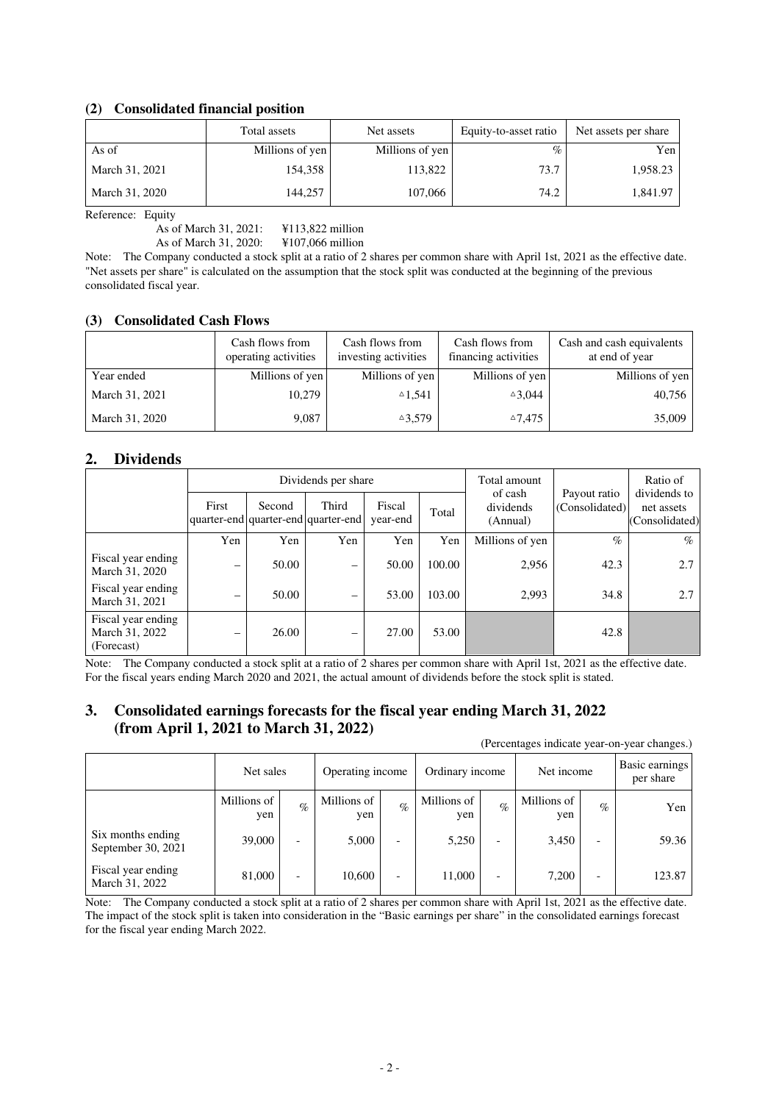### **(2) Consolidated financial position**

|                | Total assets    | Net assets      | Equity-to-asset ratio | Net assets per share |
|----------------|-----------------|-----------------|-----------------------|----------------------|
| As of          | Millions of yen | Millions of yen | $\%$                  | Yen                  |
| March 31, 2021 | 154.358         | 113,822         | 73.7                  | 1,958.23             |
| March 31, 2020 | 144.257         | 107,066         | 74.2                  | 1.841.97             |

Reference: Equity

As of March 31, 2021: ¥113,822 million As of March 31, 2020: ¥107,066 million

Note: The Company conducted a stock split at a ratio of 2 shares per common share with April 1st, 2021 as the effective date. "Net assets per share" is calculated on the assumption that the stock split was conducted at the beginning of the previous consolidated fiscal year.

### **(3) Consolidated Cash Flows**

|                | Cash flows from<br>operating activities | Cash flows from<br>investing activities | Cash flows from<br>financing activities | Cash and cash equivalents<br>at end of year |
|----------------|-----------------------------------------|-----------------------------------------|-----------------------------------------|---------------------------------------------|
| Year ended     | Millions of yen                         | Millions of yen                         | Millions of yen                         | Millions of yen                             |
| March 31, 2021 | 10.279                                  | $^{\circ}1.541$                         | $\triangle 3.044$                       | 40,756                                      |
| March 31, 2020 | 9,087                                   | $^{\triangle}3,579$                     | $^{\triangle}7,475$                     | 35,009                                      |

### **2. Dividends**

|                                                    |                          |        | Dividends per share                          |                    | Total amount |                                  | Ratio of                       |                                              |
|----------------------------------------------------|--------------------------|--------|----------------------------------------------|--------------------|--------------|----------------------------------|--------------------------------|----------------------------------------------|
|                                                    | First                    | Second | Third<br>quarter-end quarter-end quarter-end | Fiscal<br>year-end | Total        | of cash<br>dividends<br>(Annual) | Payout ratio<br>(Consolidated) | dividends to<br>net assets<br>(Consolidated) |
|                                                    | Yen                      | Yen    | Yen                                          | Yen                | Yen          | Millions of yen                  | $\%$                           | $\%$                                         |
| Fiscal year ending<br>March 31, 2020               | -                        | 50.00  | $\overline{\phantom{m}}$                     | 50.00              | 100.00       | 2,956                            | 42.3                           | 2.7                                          |
| Fiscal year ending<br>March 31, 2021               | $\overline{\phantom{m}}$ | 50.00  | $\qquad \qquad \blacksquare$                 | 53.00              | 103.00       | 2,993                            | 34.8                           | 2.7                                          |
| Fiscal year ending<br>March 31, 2022<br>(Forecast) | $\overline{\phantom{m}}$ | 26.00  | $\overline{\phantom{m}}$                     | 27.00              | 53.00        |                                  | 42.8                           |                                              |

Note: The Company conducted a stock split at a ratio of 2 shares per common share with April 1st, 2021 as the effective date. For the fiscal years ending March 2020 and 2021, the actual amount of dividends before the stock split is stated.

### **3. Consolidated earnings forecasts for the fiscal year ending March 31, 2022 (from April 1, 2021 to March 31, 2022)**

|                                         |                    |                          |                    |                          |                    |      |                    |                          | (Percentages indicate year-on-year changes.) |
|-----------------------------------------|--------------------|--------------------------|--------------------|--------------------------|--------------------|------|--------------------|--------------------------|----------------------------------------------|
|                                         | Net sales          |                          | Operating income   |                          | Ordinary income    |      | Net income         |                          | Basic earnings<br>per share                  |
|                                         | Millions of<br>yen | $\%$                     | Millions of<br>yen | $\mathcal{O}_0$          | Millions of<br>yen | $\%$ | Millions of<br>yen | $\%$                     | Yen                                          |
| Six months ending<br>September 30, 2021 | 39,000             | -                        | 5,000              | $\overline{\phantom{a}}$ | 5,250              |      | 3,450              | $\overline{\phantom{0}}$ | 59.36                                        |
| Fiscal year ending<br>March 31, 2022    | 81,000             | $\overline{\phantom{0}}$ | 10,600             | $\overline{\phantom{a}}$ | 11,000             |      | 7,200              | $\overline{\phantom{0}}$ | 123.87                                       |

Note: The Company conducted a stock split at a ratio of 2 shares per common share with April 1st, 2021 as the effective date. The impact of the stock split is taken into consideration in the "Basic earnings per share" in the consolidated earnings forecast for the fiscal year ending March 2022.